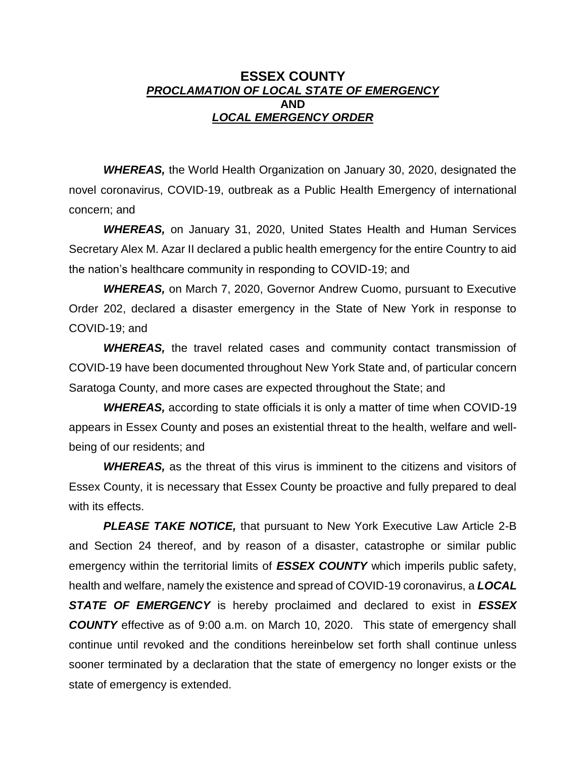## **ESSEX COUNTY** *PROCLAMATION OF LOCAL STATE OF EMERGENCY* **AND** *LOCAL EMERGENCY ORDER*

*WHEREAS,* the World Health Organization on January 30, 2020, designated the novel coronavirus, COVID-19, outbreak as a Public Health Emergency of international concern; and

*WHEREAS,* on January 31, 2020, United States Health and Human Services Secretary Alex M. Azar II declared a public health emergency for the entire Country to aid the nation's healthcare community in responding to COVID-19; and

*WHEREAS,* on March 7, 2020, Governor Andrew Cuomo, pursuant to Executive Order 202, declared a disaster emergency in the State of New York in response to COVID-19; and

*WHEREAS,* the travel related cases and community contact transmission of COVID-19 have been documented throughout New York State and, of particular concern Saratoga County, and more cases are expected throughout the State; and

*WHEREAS,* according to state officials it is only a matter of time when COVID-19 appears in Essex County and poses an existential threat to the health, welfare and wellbeing of our residents; and

*WHEREAS,* as the threat of this virus is imminent to the citizens and visitors of Essex County, it is necessary that Essex County be proactive and fully prepared to deal with its effects.

*PLEASE TAKE NOTICE,* that pursuant to New York Executive Law Article 2-B and Section 24 thereof, and by reason of a disaster, catastrophe or similar public emergency within the territorial limits of *ESSEX COUNTY* which imperils public safety, health and welfare, namely the existence and spread of COVID-19 coronavirus, a *LOCAL STATE OF EMERGENCY* is hereby proclaimed and declared to exist in *ESSEX COUNTY* effective as of 9:00 a.m. on March 10, 2020. This state of emergency shall continue until revoked and the conditions hereinbelow set forth shall continue unless sooner terminated by a declaration that the state of emergency no longer exists or the state of emergency is extended.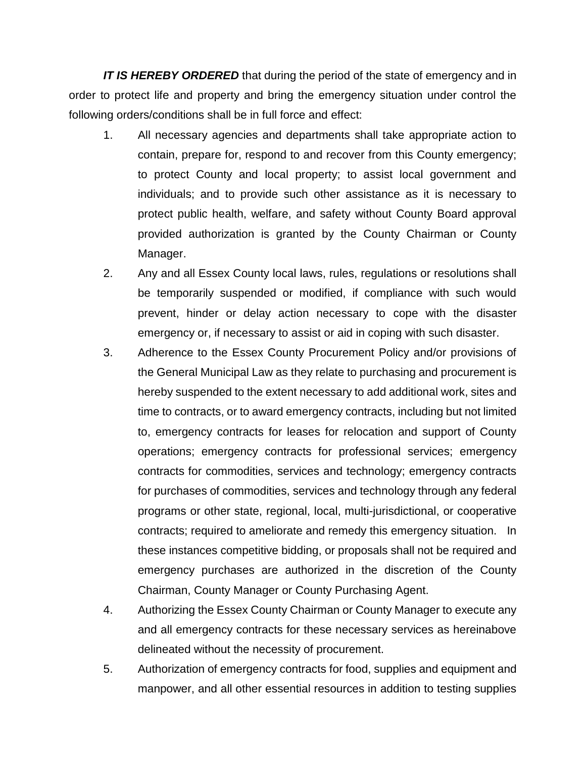*IT IS HEREBY ORDERED* that during the period of the state of emergency and in order to protect life and property and bring the emergency situation under control the following orders/conditions shall be in full force and effect:

- 1. All necessary agencies and departments shall take appropriate action to contain, prepare for, respond to and recover from this County emergency; to protect County and local property; to assist local government and individuals; and to provide such other assistance as it is necessary to protect public health, welfare, and safety without County Board approval provided authorization is granted by the County Chairman or County Manager.
- 2. Any and all Essex County local laws, rules, regulations or resolutions shall be temporarily suspended or modified, if compliance with such would prevent, hinder or delay action necessary to cope with the disaster emergency or, if necessary to assist or aid in coping with such disaster.
- 3. Adherence to the Essex County Procurement Policy and/or provisions of the General Municipal Law as they relate to purchasing and procurement is hereby suspended to the extent necessary to add additional work, sites and time to contracts, or to award emergency contracts, including but not limited to, emergency contracts for leases for relocation and support of County operations; emergency contracts for professional services; emergency contracts for commodities, services and technology; emergency contracts for purchases of commodities, services and technology through any federal programs or other state, regional, local, multi-jurisdictional, or cooperative contracts; required to ameliorate and remedy this emergency situation. In these instances competitive bidding, or proposals shall not be required and emergency purchases are authorized in the discretion of the County Chairman, County Manager or County Purchasing Agent.
- 4. Authorizing the Essex County Chairman or County Manager to execute any and all emergency contracts for these necessary services as hereinabove delineated without the necessity of procurement.
- 5. Authorization of emergency contracts for food, supplies and equipment and manpower, and all other essential resources in addition to testing supplies